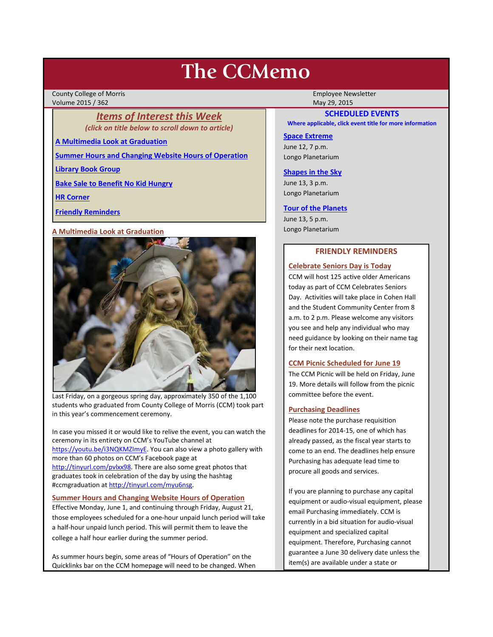# **The CCMemo**

County College of Morris **Employee Newsletter** Employee Newsletter Employee Newsletter Volume 2015 / 362 May 29, 2015

# *Items of Interest this Week (click on title below to scroll down to article)*

**[A Multimedia Look at Graduation](#page-0-0)**

**[Summer Hours and Changing Website Hours of Operation](#page-0-1)**

**[Library Book Group](#page-1-0)**

**[Bake Sale to Benefit No Kid Hungry](#page-1-1)**

**[HR Corner](#page-1-2)**

**[Friendly Reminders](#page-0-2)**

#### <span id="page-0-0"></span>**A Multimedia Look at Graduation**



Last Friday, on a gorgeous spring day, approximately 350 of the 1,100 students who graduated from County College of Morris (CCM) took part in this year's commencement ceremony.

In case you missed it or would like to relive the event, you can watch the ceremony in its entirety on CCM's YouTube channel at [https://youtu.be/i3NQKMZImyE.](https://youtu.be/i3NQKMZImyE) You can also view a photo gallery with more than 60 photos on CCM's Facebook page at [http://tinyurl.com/pvlxx98.](http://tinyurl.com/pvlxx98) There are also some great photos that graduates took in celebration of the day by using the hashtag #ccmgraduation a[t http://tinyurl.com/myu6nsg.](http://tinyurl.com/myu6nsg)

# <span id="page-0-1"></span>**Summer Hours and Changing Website Hours of Operation**

Effective Monday, June 1, and continuing through Friday, August 21, those employees scheduled for a one-hour unpaid lunch period will take a half-hour unpaid lunch period. This will permit them to leave the college a half hour earlier during the summer period.

As summer hours begin, some areas of "Hours of Operation" on the Quicklinks bar on the CCM homepage will need to be changed. When

# **SCHEDULED EVENTS**

**Where applicable, click event title for more information**

#### **[Space Extreme](http://www.ccm.edu/newsEvents/eventDetails.aspx?Channel=/Channels/Sitewide&WorkflowItemID=1874a4b0-0bcb-4ed1-a29e-7b4f8d25e45d)**

June 12, 7 p.m. Longo Planetarium

#### **[Shapes in the Sky](http://www.ccm.edu/newsEvents/eventDetails.aspx?Channel=/Channels/Sitewide&WorkflowItemID=1922c928-86d3-4e75-b6a2-fd618033989c)**

June 13, 3 p.m. Longo Planetarium

#### **[Tour of the Planets](http://www.ccm.edu/newsEvents/eventDetails.aspx?Channel=/Channels/Sitewide&WorkflowItemID=5834aa20-68ba-4fa2-a3ac-75b2311ba441)**

June 13, 5 p.m. Longo Planetarium

# **FRIENDLY REMINDERS**

#### <span id="page-0-2"></span>**Celebrate Seniors Day is Today**

CCM will host 125 active older Americans today as part of CCM Celebrates Seniors Day. Activities will take place in Cohen Hall and the Student Community Center from 8 a.m. to 2 p.m. Please welcome any visitors you see and help any individual who may need guidance by looking on their name tag for their next location.

#### **CCM Picnic Scheduled for June 19**

The CCM Picnic will be held on Friday, June 19. More details will follow from the picnic committee before the event.

# **Purchasing Deadlines**

Please note the purchase requisition deadlines for 2014-15, one of which has already passed, as the fiscal year starts to come to an end. The deadlines help ensure Purchasing has adequate lead time to procure all goods and services.

If you are planning to purchase any capital equipment or audio-visual equipment, please email Purchasing immediately. CCM is currently in a bid situation for audio-visual equipment and specialized capital equipment. Therefore, Purchasing cannot guarantee a June 30 delivery date unless the item(s) are available under a state or